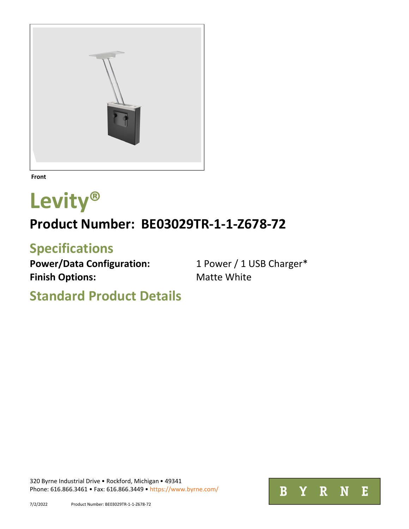

**Front**

## **Levity®**

## **Product Number: BE03029TR-1-1-Z678-72**

## **Specifications**

Power/Data Configuration: 1 Power / 1 USB Charger\* **Finish Options:** Matte White

**Standard Product Details**

[320 Byrne Industrial Drive](http://goo.gl/maps/bCfCp) . [Rockford, Michigan](http://goo.gl/maps/bCfCp) . 49341 [Phone: 616.866.3461](http://goo.gl/maps/bCfCp) • [Fax: 616.866.3449](http://goo.gl/maps/bCfCp) • <https://www.byrne.com/>